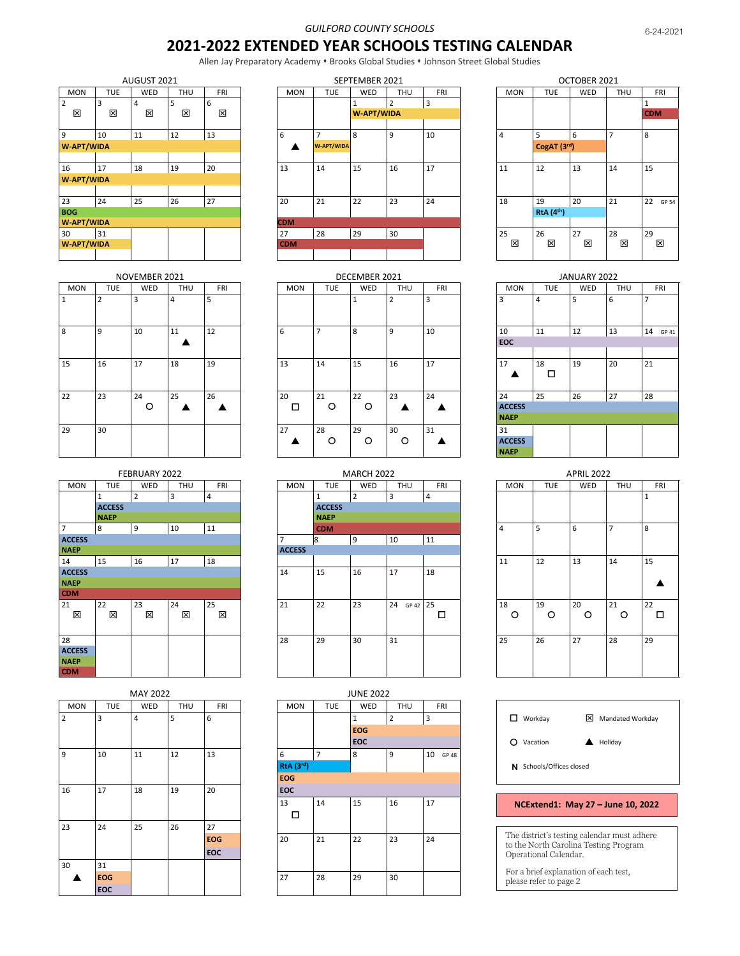## *GUILFORD COUNTY SCHOOLS*

## **2021-2022 EXTENDED YEAR SCHOOLS TESTING CALENDAR**

Allen Jay Preparatory Academy • Brooks Global Studies • Johnson Street Global Studies

|                     |            | AUGUST 2021 |        |            |            |
|---------------------|------------|-------------|--------|------------|------------|
| <b>MON</b>          | <b>TUE</b> | <b>WED</b>  | THU    | <b>FRI</b> |            |
| $\overline{2}$<br>⊠ | 3<br>図     | 4<br>⊠      | 5<br>⊠ | 6<br>図     |            |
| 9                   | 10         | 11          | 12     | 13         | 6          |
| <b>W-APT/WIDA</b>   |            |             |        |            |            |
|                     |            |             |        |            |            |
| 16                  | 17         | 18          | 19     | 20         | 13         |
| <b>W-APT/WIDA</b>   |            |             |        |            |            |
|                     |            |             |        |            |            |
| 23                  | 24         | 25          | 26     | 27         | 20         |
| <b>BOG</b>          |            |             |        |            |            |
| <b>W-APT/WIDA</b>   |            |             |        |            | <b>CDM</b> |
| 30                  | 31         |             |        |            | 27         |
| <b>W-APT/WIDA</b>   |            |             |        |            | <b>CDN</b> |
|                     |            |             |        |            |            |

|            |                | NOVEMBER 2021 |            |            |            |               | DECEMBER 2021 |                |            |                     |            | JANUARY 2022 |            |            |
|------------|----------------|---------------|------------|------------|------------|---------------|---------------|----------------|------------|---------------------|------------|--------------|------------|------------|
| <b>MON</b> | <b>TUE</b>     | <b>WED</b>    | <b>THU</b> | <b>FRI</b> | <b>MON</b> | <b>TUE</b>    | WED           | <b>THU</b>     | <b>FRI</b> | <b>MON</b>          | <b>TUE</b> | WED          | <b>THU</b> | <b>FRI</b> |
| 1          | $\overline{2}$ | 3             | 4          |            |            |               |               | $\overline{2}$ | 3          | 3                   | 4          | 5            | 6          |            |
| 8          | 9              | 10            | 11         | 12         | 6          |               | 8             | 9              | 10         | 10                  | 11         | 12           | 13         | 14 GP 41   |
|            |                |               |            |            |            |               |               |                |            | <b>EOC</b>          |            |              |            |            |
|            |                |               |            |            |            |               |               |                |            |                     |            |              |            |            |
| 15         | 16             | 17            | 18         | 19         | 13         | 14            | 15            | 16             | 17         | 17                  | 18<br>□    | 19           | 20         | 21         |
|            |                |               |            |            |            |               |               |                |            |                     |            |              |            |            |
| 22         | 23             | 24<br>O       | 25         | 26         | 20<br>□    | 21<br>$\circ$ | 22<br>$\circ$ | 23             | 24         | 24<br><b>ACCESS</b> | 25         | 26           | 27         | 28         |
|            |                |               |            |            |            |               |               |                |            | <b>NAEP</b>         |            |              |            |            |
| 29         | 30             |               |            |            | 27         | 28            | 29            | 30             | 31         | 31                  |            |              |            |            |
|            |                |               |            |            |            | $\circ$       | $\circ$       | $\circ$        |            | <b>ACCESS</b>       |            |              |            |            |
|            |                |               |            |            |            |               |               |                |            | <b>NAEP</b>         |            |              |            |            |

|                |               | FEBRUARY 2022  |            |            |               |               | <b>MARCH 2022</b> |                |    |
|----------------|---------------|----------------|------------|------------|---------------|---------------|-------------------|----------------|----|
| <b>MON</b>     | <b>TUE</b>    | WED            | <b>THU</b> | <b>FRI</b> | <b>MON</b>    | <b>TUE</b>    | WED               | <b>THU</b>     |    |
|                | $\mathbf{1}$  | $\overline{2}$ | 3          | 4          |               | $\mathbf{1}$  | $\overline{2}$    | $\overline{3}$ | 4  |
|                | <b>ACCESS</b> |                |            |            |               | <b>ACCESS</b> |                   |                |    |
|                | <b>NAEP</b>   |                |            |            |               | <b>NAEP</b>   |                   |                |    |
| $\overline{7}$ | 8             | 9              | 10         | 11         |               | <b>CDM</b>    |                   |                |    |
| <b>ACCESS</b>  |               |                |            |            | 7             | 8             | 9                 | 10             | 11 |
| <b>NAEP</b>    |               |                |            |            | <b>ACCESS</b> |               |                   |                |    |
| 14             | 15            | 16             | 17         | 18         |               |               |                   |                |    |
| <b>ACCESS</b>  |               |                |            |            | 14            | 15            | 16                | 17             | 18 |
| <b>NAEP</b>    |               |                |            |            |               |               |                   |                |    |
| <b>CDM</b>     |               |                |            |            |               |               |                   |                |    |
| 21             | 22            | 23             | 24         | 25         | 21            | 22            | 23                | 24<br>GP 42    | 25 |
| ⊠              | 図             | ⊠              | ⊠          | 図          |               |               |                   |                |    |
|                |               |                |            |            |               |               |                   |                |    |
| 28             |               |                |            |            | 28            | 29            | 30                | 31             |    |
| <b>ACCESS</b>  |               |                |            |            |               |               |                   |                |    |
| <b>NAEP</b>    |               |                |            |            |               |               |                   |                |    |
| <b>CDM</b>     |               |                |            |            |               |               |                   |                |    |

|                |            | MAY 2022       |     |            |                  |                | <b>JUNE 2022</b> |                |
|----------------|------------|----------------|-----|------------|------------------|----------------|------------------|----------------|
| <b>MON</b>     | <b>TUE</b> | WED            | THU | <b>FRI</b> | <b>MON</b>       | <b>TUE</b>     | WED              |                |
| $\overline{2}$ | 3          | $\overline{a}$ | 5   | 6          |                  |                | $\mathbf{1}$     | $\overline{2}$ |
|                |            |                |     |            |                  |                | <b>EOG</b>       |                |
|                |            |                |     |            |                  |                | EOC              |                |
| 9              | 10         | 11             | 12  | 13         | 6                | $\overline{7}$ | 8                | 9              |
|                |            |                |     |            | <b>RtA</b> (3rd) |                |                  |                |
|                |            |                |     |            | <b>EOG</b>       |                |                  |                |
| 16             | 17         | 18             | 19  | 20         | EOC              |                |                  |                |
|                |            |                |     |            | 13               | 14             | 15               | 16             |
|                |            |                |     |            | □                |                |                  |                |
| 23             | 24         | 25             | 26  | 27         |                  |                |                  |                |
|                |            |                |     | <b>EOG</b> | 20               | 21             | 22               | 23             |
|                |            |                |     | EOC        |                  |                |                  |                |
| 30             | 31         |                |     |            |                  |                |                  |                |
|                | <b>EOG</b> |                |     |            | 27               | 28             | 29               | 30             |
|                | <b>EOC</b> |                |     |            |                  |                |                  |                |

|            |            | AUGUST 2021 |     |            |            |                   | SEPTEMBER 2021    |     |            |            |                               | OCTOBER 2021 |            |  |
|------------|------------|-------------|-----|------------|------------|-------------------|-------------------|-----|------------|------------|-------------------------------|--------------|------------|--|
| <b>MON</b> | <b>TUE</b> | <b>WED</b>  | THU | <b>FRI</b> | <b>MON</b> | <b>TUE</b>        | WED               | THU | <b>FRI</b> | <b>MON</b> | <b>TUE</b>                    | <b>WED</b>   | <b>THU</b> |  |
|            | 3          |             |     | 6          |            |                   |                   |     | 3          |            |                               |              |            |  |
| ⊠          | 図          | ⊠           | 図   | 冈          |            |                   | <b>W-APT/WIDA</b> |     |            |            |                               |              |            |  |
|            |            |             |     |            |            |                   |                   |     |            |            |                               |              |            |  |
| q          | 10         | 11          | 12  | 13         | 6          |                   | 8                 | 9   | 10         | 4          |                               | 6            |            |  |
| W-APT/WIDA |            |             |     |            |            | <b>W-APT/WIDA</b> |                   |     |            |            | CogAT (3rd)                   |              |            |  |
|            |            |             |     |            |            |                   |                   |     |            |            |                               |              |            |  |
| 16         | 17         | 18          | 19  | 20         | 13         | 14                | 15                | 16  | 17         | 11         | 12                            | 13           | 14         |  |
| W-APT/WIDA |            |             |     |            |            |                   |                   |     |            |            |                               |              |            |  |
|            |            |             |     |            |            |                   |                   |     |            |            |                               |              |            |  |
| 23         | 24         | 25          | 26  | 27         | 20         | 21                | 22                | 23  | 24         | 18         | 19                            | 20           | 21         |  |
| <b>BOG</b> |            |             |     |            |            |                   |                   |     |            |            | <b>RtA</b> (4 <sup>th</sup> ) |              |            |  |
| W-APT/WIDA |            |             |     |            | <b>CDM</b> |                   |                   |     |            |            |                               |              |            |  |
| 30         | 31         |             |     |            | 27         | 28                | 29                | 30  |            | 25         | 26                            | 27           | 28         |  |
| W-APT/WIDA |            |             |     |            | <b>CDM</b> |                   |                   |     |            | 冈          | ×                             | 図            | ⊠          |  |
|            |            |             |     |            |            |                   |                   |     |            |            |                               |              |            |  |

|     |            | NOVEMBER 2021 |            |            |            |            | DECEMBER 2021 |                |            |               |            | JANUARY 2022 |            |                 |
|-----|------------|---------------|------------|------------|------------|------------|---------------|----------------|------------|---------------|------------|--------------|------------|-----------------|
| MON | <b>TUE</b> | <b>WED</b>    | <b>THU</b> | <b>FRI</b> | <b>MON</b> | <b>TUE</b> | WED           | <b>THU</b>     | <b>FRI</b> | <b>MON</b>    | <b>TUE</b> | <b>WED</b>   | <b>THU</b> | <b>FRI</b>      |
|     |            | 3             | 4          | 5          |            |            |               | $\overline{2}$ | 3          | 3             | 4          | 5            | 6          | $\overline{ }$  |
|     | 9          | 10            | 11         | 12         | 6          | z          | 8             | 9              | 10         | 10            | 11         | 12           | 13         | 14 <sub>6</sub> |
|     |            |               |            |            |            |            |               |                |            | <b>EOC</b>    |            |              |            |                 |
|     |            |               |            |            |            |            |               |                |            |               |            |              |            |                 |
|     | 16         | 17            | 18         | 19         | 13         | 14         | 15            | 16             | 17         | 17            | 18         | 19           | 20         | 21              |
|     |            |               |            |            |            |            |               |                |            |               | □          |              |            |                 |
|     | 23         | 24            | 25         | 26         | 20         | 21         | 22            | 23             | 24         | 24            | 25         | 26           | 27         | 28              |
|     |            | O             |            |            | □          | $\circ$    | O             |                |            | <b>ACCESS</b> |            |              |            |                 |
|     |            |               |            |            |            |            |               |                |            | <b>NAEP</b>   |            |              |            |                 |
|     | 30         |               |            |            | 27         | 28         | 29            | 30             | 31         | 31            |            |              |            |                 |
|     |            |               |            |            |            | O          | O             | O              |            | <b>ACCESS</b> |            |              |            |                 |
|     |            |               |            |            |            |            |               |                |            | <b>NAEP</b>   |            |              |            |                 |

|               |               | FEBRUARY 2022 |            |            |               |               | <b>MARCH 2022</b> |                |            |            |            | <b>APRIL 2022</b> |         |            |
|---------------|---------------|---------------|------------|------------|---------------|---------------|-------------------|----------------|------------|------------|------------|-------------------|---------|------------|
| <b>MON</b>    | <b>TUE</b>    | <b>WED</b>    | <b>THU</b> | <b>FRI</b> | <b>MON</b>    | TUE           | WED               | <b>THU</b>     | <b>FRI</b> | <b>MON</b> | <b>TUE</b> | WED               | THU     | <b>FRI</b> |
|               |               |               | 3          | 4          |               |               | 2                 | 3              | 4          |            |            |                   |         |            |
|               | <b>ACCESS</b> |               |            |            |               | <b>ACCESS</b> |                   |                |            |            |            |                   |         |            |
|               | <b>NAEP</b>   |               |            |            |               | <b>NAEP</b>   |                   |                |            |            |            |                   |         |            |
| 7             | 8             | 9             | 10         | 11         |               | <b>CDM</b>    |                   |                |            | 4          | 5          | 6                 |         | 8          |
| <b>ACCESS</b> |               |               |            |            | э.            | 8             | 9                 | 10             | 11         |            |            |                   |         |            |
| <b>NAEP</b>   |               |               |            |            | <b>ACCESS</b> |               |                   |                |            |            |            |                   |         |            |
| 14            | 15            | 16            | 17         | 18         |               |               |                   |                |            | 11         | 12         | 13                | 14      | 15         |
| <b>ACCESS</b> |               |               |            |            | 14            | 15            | 16                | 17             | 18         |            |            |                   |         |            |
| <b>NAEP</b>   |               |               |            |            |               |               |                   |                |            |            |            |                   |         |            |
| <b>CDM</b>    |               |               |            |            |               |               |                   |                |            |            |            |                   |         |            |
| 21            | 22            | 23            | 24         | 25         | 21            | 22            | 23                | GP 42 25<br>24 |            | 18         | 19         | 20                | 21      | 22         |
| ⊠             | 図             | 図             | 冈          | 図          |               |               |                   |                | □          | $\circ$    | $\circ$    | $\circ$           | $\circ$ | □          |
|               |               |               |            |            |               |               |                   |                |            |            |            |                   |         |            |
| 28            |               |               |            |            | 28            | 29            | 30                | 31             |            | 25         | 26         | 27                | 28      | 29         |
| <b>ACCESS</b> |               |               |            |            |               |               |                   |                |            |            |            |                   |         |            |
| <b>NAEP</b>   |               |               |            |            |               |               |                   |                |            |            |            |                   |         |            |
| CDM.          |               |               |            |            |               |               |                   |                |            |            |            |                   |         |            |

|            |            | <b>MAY 2022</b> |     |            |            |            | <b>JUNE 2022</b> |                |             |                          |                                                                                      |
|------------|------------|-----------------|-----|------------|------------|------------|------------------|----------------|-------------|--------------------------|--------------------------------------------------------------------------------------|
| <b>MON</b> | <b>TUE</b> | <b>WED</b>      | THU | <b>FRI</b> | <b>MON</b> | <b>TUE</b> | WED              | <b>THU</b>     | <b>FRI</b>  |                          |                                                                                      |
| 2          | 3          | $\overline{4}$  | 5   | 6          |            |            |                  | $\overline{2}$ | 3           | $\Box$ Workday           | ⊠<br>Mandated Workday                                                                |
|            |            |                 |     |            |            |            | <b>EOG</b>       |                |             |                          |                                                                                      |
|            |            |                 |     |            |            |            | <b>EOC</b>       |                |             | $\circ$<br>Vacation      | A Holiday                                                                            |
| 9          | 10         | 11              | 12  | 13         | 6          |            | 8                | 9              | 10<br>GP 48 |                          |                                                                                      |
|            |            |                 |     |            | RtA (3rd)  |            |                  |                |             | N Schools/Offices closed |                                                                                      |
|            |            |                 |     |            | <b>EOG</b> |            |                  |                |             |                          |                                                                                      |
| 16         | 17         | 18              | 19  | 20         | <b>EOC</b> |            |                  |                |             |                          |                                                                                      |
|            |            |                 |     |            | 13         | 14         | 15               | 16             | 17          |                          | NCExtend1: May 27 - June 10, 2022                                                    |
|            |            |                 |     |            | □          |            |                  |                |             |                          |                                                                                      |
| 23         | 24         | 25              | 26  | 27         |            |            |                  |                |             |                          |                                                                                      |
|            |            |                 |     | <b>EOG</b> | 20         | 21         | 22               | 23             | 24          |                          | The district's testing calendar must adhere<br>to the North Carolina Testing Program |
|            |            |                 |     | <b>EOC</b> |            |            |                  |                |             | Operational Calendar.    |                                                                                      |
| 30         | 31         |                 |     |            |            |            |                  |                |             |                          |                                                                                      |
|            | <b>EOG</b> |                 |     |            | 27         | 28         | 29               | 30             |             | please refer to page 2   | For a brief explanation of each test,                                                |
|            | <b>EOC</b> |                 |     |            |            |            |                  |                |             |                          |                                                                                      |

|            |                               | OCTOBER 2021 |            |             |
|------------|-------------------------------|--------------|------------|-------------|
| <b>MON</b> | <b>TUE</b>                    | WED          | <b>THU</b> | FRI         |
|            |                               |              |            | 1           |
|            |                               |              |            | <b>CDM</b>  |
|            |                               |              |            |             |
| 4          | 5                             | 6            | 7          | 8           |
|            | CogAT (3rd)                   |              |            |             |
|            |                               |              |            |             |
| 11         | 12                            | 13           | 14         | 15          |
|            |                               |              |            |             |
|            |                               |              |            |             |
| 18         | 19                            | 20           | 21         | 22<br>GP 54 |
|            | <b>RtA</b> (4 <sup>th</sup> ) |              |            |             |
|            |                               |              |            |             |
| 25         | 26                            | 27           | 28         | 29          |
| ⊠          | ⊠                             | ⊠            | ⊠          | ⊠           |
|            |                               |              |            |             |

|               |                    | JANUARY 2022 |            |             |
|---------------|--------------------|--------------|------------|-------------|
| <b>MON</b>    | <b>TUE</b>         | WED          | <b>THU</b> | <b>FRI</b>  |
| 3             | 4                  | 5            | 6          | 7           |
| 10            | 11                 | 12           | 13         | 14<br>GP 41 |
| <b>EOC</b>    |                    |              |            |             |
|               |                    |              |            |             |
| 17            | 18<br>$\mathbf{I}$ | 19           | 20         | 21          |
| 24            | 25                 | 26           | 27         | 28          |
| <b>ACCESS</b> |                    |              |            |             |
| <b>NAEP</b>   |                    |              |            |             |
| 31            |                    |              |            |             |
| <b>ACCESS</b> |                    |              |            |             |
| <b>NAEP</b>   |                    |              |            |             |

| <b>APRIL 2022</b>                                    |         |         |                |              |  |  |  |  |  |  |
|------------------------------------------------------|---------|---------|----------------|--------------|--|--|--|--|--|--|
| <b>MON</b><br>WED<br><b>TUE</b><br><b>THU</b><br>FRI |         |         |                |              |  |  |  |  |  |  |
|                                                      |         |         |                | $\mathbf{1}$ |  |  |  |  |  |  |
| 4                                                    | 5       | 6       | $\overline{7}$ | 8            |  |  |  |  |  |  |
| 11                                                   | 12      | 13      | 14             | 15           |  |  |  |  |  |  |
| 18<br>O                                              | 19<br>O | 20<br>O | 21<br>O        | 22<br>. I    |  |  |  |  |  |  |
| 25                                                   | 26      | 27      | 28             | 29           |  |  |  |  |  |  |

| WED | <b>THU</b> | <b>FRI</b>  |     |                          |   |                                   |
|-----|------------|-------------|-----|--------------------------|---|-----------------------------------|
| 1   | 2          | 3           | I I | Workday                  | ⊠ | Mandated Workday                  |
| EOG |            |             |     |                          |   |                                   |
| EOC |            |             |     | Vacation                 |   | Holiday                           |
| 8   | 9          | 10<br>GP 48 |     |                          |   |                                   |
|     |            |             |     | N Schools/Offices closed |   |                                   |
|     |            |             |     |                          |   |                                   |
|     |            |             |     |                          |   |                                   |
| 15  | 16         | 17          |     |                          |   | NCExtend1: May 27 - June 10, 2022 |
|     |            |             |     |                          |   |                                   |
|     |            |             |     |                          |   |                                   |